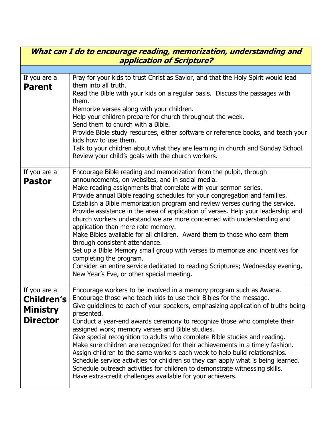| What can I do to encourage reading, memorization, understanding and<br><b>application of Scripture?</b> |                                                                                                                                                                                                                                                                                                                                                                                                                                                                                                                                                                                                                                                                                                                                                                                                                                                                                                                       |  |
|---------------------------------------------------------------------------------------------------------|-----------------------------------------------------------------------------------------------------------------------------------------------------------------------------------------------------------------------------------------------------------------------------------------------------------------------------------------------------------------------------------------------------------------------------------------------------------------------------------------------------------------------------------------------------------------------------------------------------------------------------------------------------------------------------------------------------------------------------------------------------------------------------------------------------------------------------------------------------------------------------------------------------------------------|--|
|                                                                                                         |                                                                                                                                                                                                                                                                                                                                                                                                                                                                                                                                                                                                                                                                                                                                                                                                                                                                                                                       |  |
| If you are a<br><b>Parent</b>                                                                           | Pray for your kids to trust Christ as Savior, and that the Holy Spirit would lead<br>them into all truth.<br>Read the Bible with your kids on a regular basis. Discuss the passages with<br>them.<br>Memorize verses along with your children.<br>Help your children prepare for church throughout the week.<br>Send them to church with a Bible.<br>Provide Bible study resources, either software or reference books, and teach your<br>kids how to use them.<br>Talk to your children about what they are learning in church and Sunday School.<br>Review your child's goals with the church workers.                                                                                                                                                                                                                                                                                                              |  |
| If you are a<br><b>Pastor</b>                                                                           | Encourage Bible reading and memorization from the pulpit, through<br>announcements, on websites, and in social media.<br>Make reading assignments that correlate with your sermon series.<br>Provide annual Bible reading schedules for your congregation and families.<br>Establish a Bible memorization program and review verses during the service.<br>Provide assistance in the area of application of verses. Help your leadership and<br>church workers understand we are more concerned with understanding and<br>application than mere rote memory.<br>Make Bibles available for all children. Award them to those who earn them<br>through consistent attendance.<br>Set up a Bible Memory small group with verses to memorize and incentives for<br>completing the program.<br>Consider an entire service dedicated to reading Scriptures; Wednesday evening,<br>New Year's Eve, or other special meeting. |  |
| If you are a<br><b>Children's</b><br><b>Ministry</b><br><b>Director</b>                                 | Encourage workers to be involved in a memory program such as Awana.<br>Encourage those who teach kids to use their Bibles for the message.<br>Give guidelines to each of your speakers, emphasizing application of truths being<br>presented.<br>Conduct a year-end awards ceremony to recognize those who complete their<br>assigned work; memory verses and Bible studies.<br>Give special recognition to adults who complete Bible studies and reading.<br>Make sure children are recognized for their achievements in a timely fashion.<br>Assign children to the same workers each week to help build relationships.<br>Schedule service activities for children so they can apply what is being learned.<br>Schedule outreach activities for children to demonstrate witnessing skills.<br>Have extra-credit challenges available for your achievers.                                                           |  |